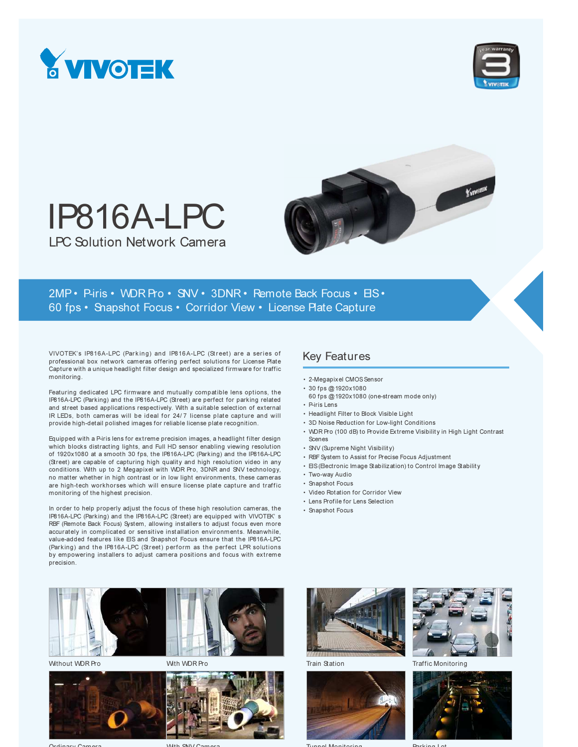



# IP816A-LPC LPC Solution Network Camera



## 2MP • P-iris • WDR Pro • SNV • 3DNR • Remote Back Focus • EIS • 60 fps • Snapshot Focus • Corridor View • License Plate Capture

VIVOTEK's IP816A-LPC (Parking) and IP816A-LPC (Street) are a series of professional box network cameras offering perfect solutions for License Plate Capture with a unique headlight filter design and specialized firmware for traffic monitoring.

Featuring dedicated LPC firmware and mutually compatible lens options, the IP816A-LPC (Parking) and the IP816A-LPC (Street) are perfect for parking related and street based applications respectively. With a suitable selection of external IR LEDs, both cameras will be ideal for 24/7 license plate capture and will provide high-detail polished images for reliable license plate recognition.

Equipped with a P-iris lens for extreme precision images, a headlight filter design which blocks distracting lights, and Full HD sensor enabling viewing resolution of 1920x1080 at a smooth 30 fps, the IP816A-LPC (Parking) and the IP816A-LPC (Street) are capable of capturing high quality and high resolution video in any conditions. With up to 2 Megapixel with WDR Pro, 3DNR and SNV technology, no matter whether in high contrast or in low light environments, these cameras are high-tech workhorses which will ensure license plate capture and traffic monitoring of the highest precision.

In order to help properly adjust the focus of these high resolution cameras, the IP816A-LPC (Parking) and the IP816A-LPC (Street) are equipped with VIVOTEK' s RBF (Remote Back Focus) System, allowing installers to adjust focus even more accurately in complicated or sensitive installation environments. Meanwhile, value-added features like EIS and Snapshot Focus ensure that the IP816A-LPC (Parking) and the IP816A-LPC (Street) perform as the perfect LPR solutions by empowering installers to adjust camera positions and focus with extreme precision.



Without WDR Pro



With WDR Pro

### Key Features

- 2-Megapixel CMOS Sensor
- 30 fps @ 1920x1080
- 60 fps @ 1920x1080 (one-stream mode only)
- P-iris Lens
- Headlight Filter to Block Visible Light
- 3D Noise Reduction for Low-light Conditions
- WDR Pro (100 dB) to Provide Extreme Visibility in High Light Contrast Scenes
- SNV (Supreme Night Visibility)
- RBF System to Assist for Precise Focus Adjustment
- EIS (Electronic Image Stabilization) to Control Image Stability
- Two-way Audio
- Snapshot Focus
- Video Rotation for Corridor View
- Lens Profile for Lens Selection
- Snapshot Focus



Train Station



Traffic Monitoring



Tunnel Monitoring



Parking Lot

Ordinary Camera

With SNV Camera